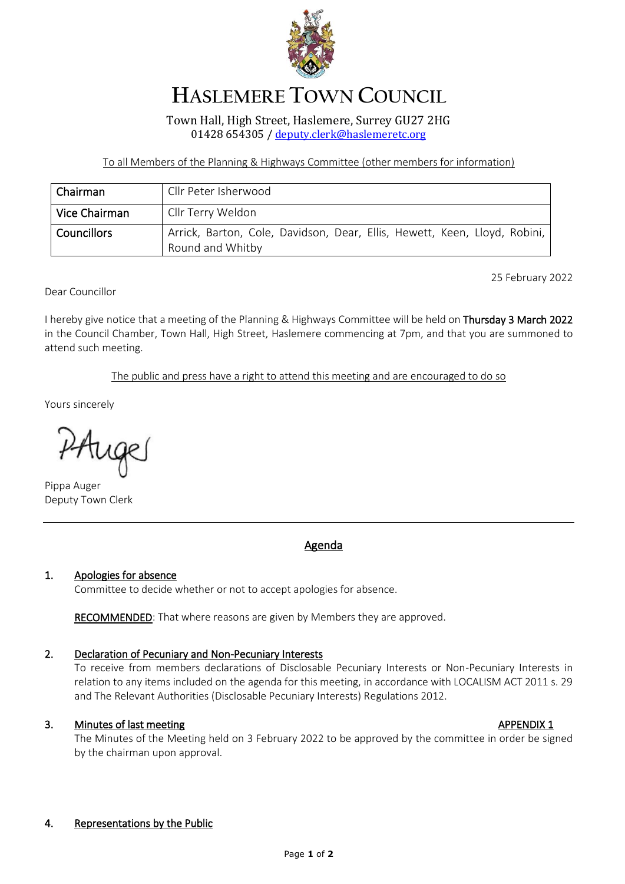

# **HASLEMERE TOWN COUNCIL**

Town Hall, High Street, Haslemere, Surrey GU27 2HG 01428 654305 / [deputy.clerk@haslemeretc.org](mailto:town.clerk@haslemeretc.org)

To all Members of the Planning & Highways Committee (other members for information)

| Chairman           | Cllr Peter Isherwood                                                                          |
|--------------------|-----------------------------------------------------------------------------------------------|
| Vice Chairman      | Cllr Terry Weldon                                                                             |
| <b>Councillors</b> | Arrick, Barton, Cole, Davidson, Dear, Ellis, Hewett, Keen, Lloyd, Robini,<br>Round and Whitby |

25 February 2022

Dear Councillor

I hereby give notice that a meeting of the Planning & Highways Committee will be held on Thursday 3 March 2022 in the Council Chamber, Town Hall, High Street, Haslemere commencing at 7pm, and that you are summoned to attend such meeting.

The public and press have a right to attend this meeting and are encouraged to do so

Yours sincerely

PAuge

Pippa Auger Deputy Town Clerk

## Agenda

#### 1. Apologies for absence

Committee to decide whether or not to accept apologies for absence.

RECOMMENDED: That where reasons are given by Members they are approved.

### 2. Declaration of Pecuniary and Non-Pecuniary Interests

To receive from members declarations of Disclosable Pecuniary Interests or Non-Pecuniary Interests in relation to any items included on the agenda for this meeting, in accordance with LOCALISM ACT 2011 s. 29 and The Relevant Authorities (Disclosable Pecuniary Interests) Regulations 2012.

### 3. Minutes of last meeting and the state of the state of the APPENDIX 1

The Minutes of the Meeting held on 3 February 2022 to be approved by the committee in order be signed by the chairman upon approval.

#### 4. Representations by the Public